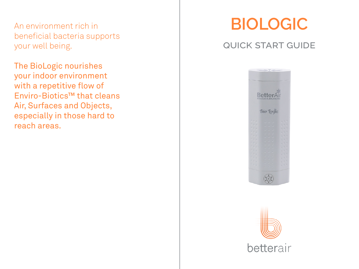An environment rich in beneficial bacteria supports your well being.

The BioLogic nourishes your indoor environment with a repetitive flow of Enviro-Biotics™ that cleans Air, Surfaces and Objects, especially in those hard to reach areas.

# **BIOLOGIC**

### quick start guide



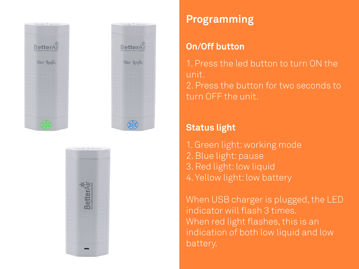





# **Programming**

### **On/Off button**

1. Press the led button to turn ON the unit. 2. Press the button for two seconds to turn OFF the unit.

### **Status light**

1. Green light: working mode 2. Blue light: pause 3. Red light: low liquid 4. Yellow light: low battery

When USB charger is plugged, the LED indicator will flash 3 times. When red light flashes, this is an indication of both low liquid and low battery.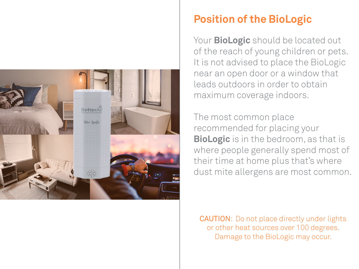

### **Position of the BioLogic**

Your **BioLogic** should be located out of the reach of young children or pets. It is not advised to place the BioLogic near an open door or a window that leads outdoors in order to obtain maximum coverage indoors.

The most common place recommended for placing your **BioLogic** is in the bedroom, as that is where people generally spend most of their time at home plus that's where dust mite allergens are most common.

CAUTION: Do not place directly under lights or other heat sources over 100 degrees. Damage to the BioLogic may occur.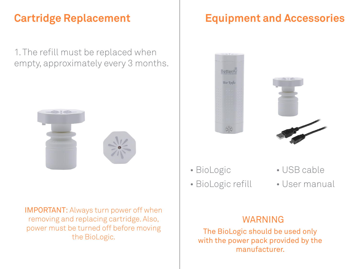## **Cartridge Replacement**

1. The refill must be replaced when empty, approximately every 3 months.



IMPORTANT: Always turn power off when removing and replacing cartridge. Also, power must be turned off before moving the BioLogic.

# **Equipment and Accessories**





- BioLogic
- BioLogic refill
- USB cable
- User manual

#### WARNING

The BioLogic should be used only with the power pack provided by the manufacturer.